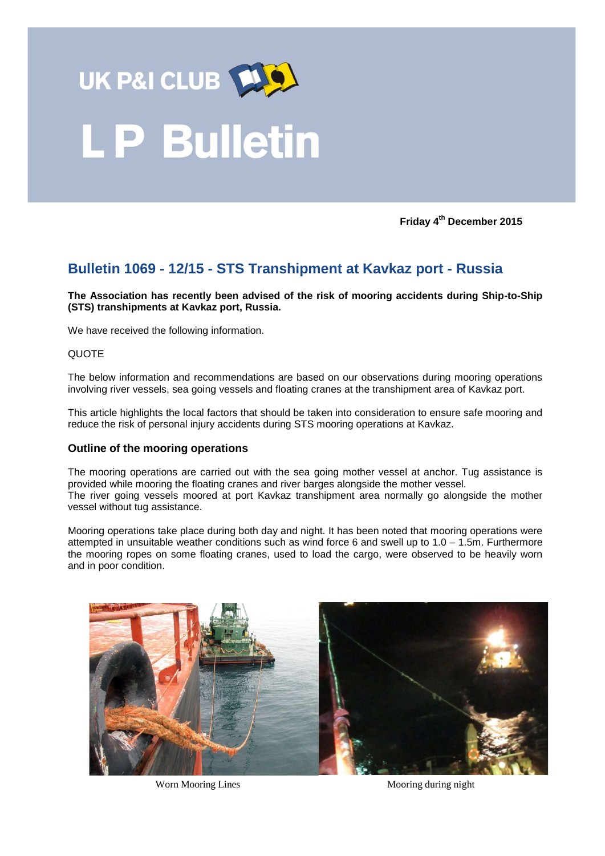

# **LP Bulletin**

**Friday 4th December 2015**

# **Bulletin 1069 - 12/15 - STS Transhipment at Kavkaz port - Russia**

**The Association has recently been advised of the risk of mooring accidents during Ship-to-Ship (STS) transhipments at Kavkaz port, Russia.**

We have received the following information.

#### **QUOTE**

The below information and recommendations are based on our observations during mooring operations involving river vessels, sea going vessels and floating cranes at the transhipment area of Kavkaz port.

This article highlights the local factors that should be taken into consideration to ensure safe mooring and reduce the risk of personal injury accidents during STS mooring operations at Kavkaz.

# **Outline of the mooring operations**

The mooring operations are carried out with the sea going mother vessel at anchor. Tug assistance is provided while mooring the floating cranes and river barges alongside the mother vessel. The river going vessels moored at port Kavkaz transhipment area normally go alongside the mother vessel without tug assistance.

Mooring operations take place during both day and night. It has been noted that mooring operations were attempted in unsuitable weather conditions such as wind force 6 and swell up to 1.0 – 1.5m. Furthermore the mooring ropes on some floating cranes, used to load the cargo, were observed to be heavily worn and in poor condition.



Worn Mooring Lines Mooring during night